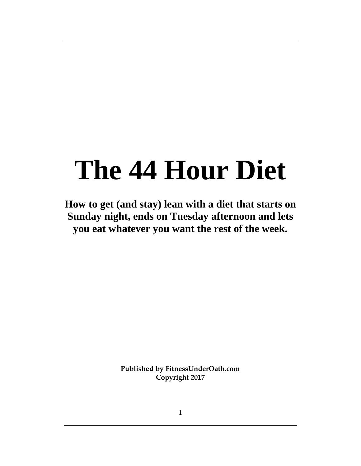# **The 44 Hour Diet**

**How to get (and stay) lean with a diet that starts on Sunday night, ends on Tuesday afternoon and lets you eat whatever you want the rest of the week.** 

> **Published by FitnessUnderOath.com Copyright 2017**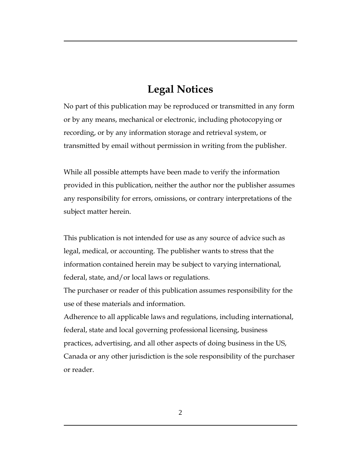## **Legal Notices**

No part of this publication may be reproduced or transmitted in any form or by any means, mechanical or electronic, including photocopying or recording, or by any information storage and retrieval system, or transmitted by email without permission in writing from the publisher.

While all possible attempts have been made to verify the information provided in this publication, neither the author nor the publisher assumes any responsibility for errors, omissions, or contrary interpretations of the subject matter herein.

This publication is not intended for use as any source of advice such as legal, medical, or accounting. The publisher wants to stress that the information contained herein may be subject to varying international, federal, state, and/or local laws or regulations.

The purchaser or reader of this publication assumes responsibility for the use of these materials and information.

Adherence to all applicable laws and regulations, including international, federal, state and local governing professional licensing, business practices, advertising, and all other aspects of doing business in the US, Canada or any other jurisdiction is the sole responsibility of the purchaser or reader.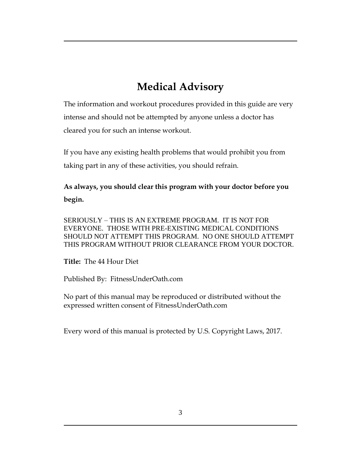# **Medical Advisory**

The information and workout procedures provided in this guide are very intense and should not be attempted by anyone unless a doctor has cleared you for such an intense workout.

If you have any existing health problems that would prohibit you from taking part in any of these activities, you should refrain.

**As always, you should clear this program with your doctor before you begin.** 

SERIOUSLY – THIS IS AN EXTREME PROGRAM. IT IS NOT FOR EVERYONE. THOSE WITH PRE-EXISTING MEDICAL CONDITIONS SHOULD NOT ATTEMPT THIS PROGRAM. NO ONE SHOULD ATTEMPT THIS PROGRAM WITHOUT PRIOR CLEARANCE FROM YOUR DOCTOR.

**Title:** The 44 Hour Diet

Published By: FitnessUnderOath.com

No part of this manual may be reproduced or distributed without the expressed written consent of FitnessUnderOath.com

Every word of this manual is protected by U.S. Copyright Laws, 2017.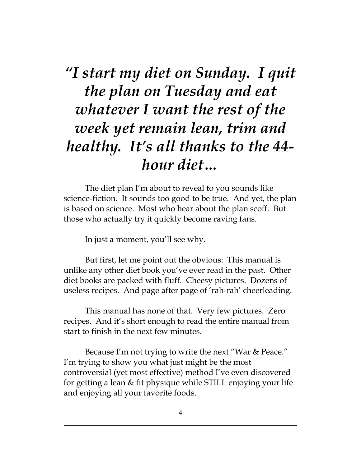*"I start my diet on Sunday. I quit the plan on Tuesday and eat whatever I want the rest of the week yet remain lean, trim and healthy. It's all thanks to the 44 hour diet…*

The diet plan I'm about to reveal to you sounds like science-fiction. It sounds too good to be true. And yet, the plan is based on science. Most who hear about the plan scoff. But those who actually try it quickly become raving fans.

In just a moment, you'll see why.

But first, let me point out the obvious: This manual is unlike any other diet book you've ever read in the past. Other diet books are packed with fluff. Cheesy pictures. Dozens of useless recipes. And page after page of 'rah-rah' cheerleading.

This manual has none of that. Very few pictures. Zero recipes. And it's short enough to read the entire manual from start to finish in the next few minutes.

Because I'm not trying to write the next "War & Peace." I'm trying to show you what just might be the most controversial (yet most effective) method I've even discovered for getting a lean & fit physique while STILL enjoying your life and enjoying all your favorite foods.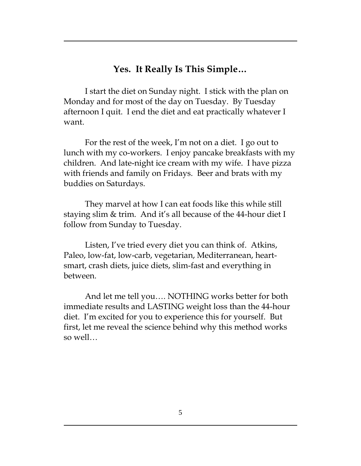#### **Yes. It Really Is This Simple…**

I start the diet on Sunday night. I stick with the plan on Monday and for most of the day on Tuesday. By Tuesday afternoon I quit. I end the diet and eat practically whatever I want.

For the rest of the week, I'm not on a diet. I go out to lunch with my co-workers. I enjoy pancake breakfasts with my children. And late-night ice cream with my wife. I have pizza with friends and family on Fridays. Beer and brats with my buddies on Saturdays.

They marvel at how I can eat foods like this while still staying slim & trim. And it's all because of the 44-hour diet I follow from Sunday to Tuesday.

Listen, I've tried every diet you can think of. Atkins, Paleo, low-fat, low-carb, vegetarian, Mediterranean, heartsmart, crash diets, juice diets, slim-fast and everything in between.

And let me tell you…. NOTHING works better for both immediate results and LASTING weight loss than the 44-hour diet. I'm excited for you to experience this for yourself. But first, let me reveal the science behind why this method works so well…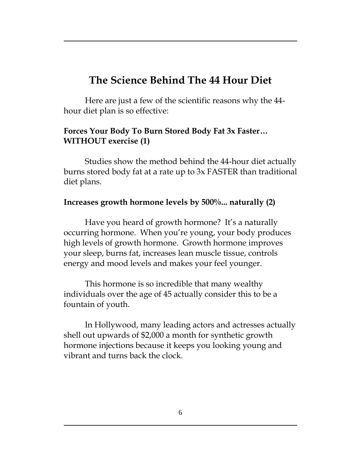# **The Science Behind The 44 Hour Diet**

Here are just a few of the scientific reasons why the 44 hour diet plan is so effective:

#### **Forces Your Body To Burn Stored Body Fat 3x Faster… WITHOUT exercise (1)**

Studies show the method behind the 44-hour diet actually burns stored body fat at a rate up to 3x FASTER than traditional diet plans.

#### **Increases growth hormone levels by 500%... naturally (2)**

Have you heard of growth hormone? It's a naturally occurring hormone. When you're young, your body produces high levels of growth hormone. Growth hormone improves your sleep, burns fat, increases lean muscle tissue, controls energy and mood levels and makes your feel younger.

This hormone is so incredible that many wealthy individuals over the age of 45 actually consider this to be a fountain of youth.

In Hollywood, many leading actors and actresses actually shell out upwards of \$2,000 a month for synthetic growth hormone injections because it keeps you looking young and vibrant and turns back the clock.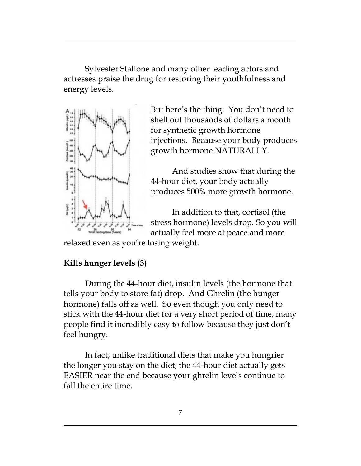Sylvester Stallone and many other leading actors and actresses praise the drug for restoring their youthfulness and energy levels.



But here's the thing: You don't need to shell out thousands of dollars a month for synthetic growth hormone injections. Because your body produces growth hormone NATURALLY.

And studies show that during the 44-hour diet, your body actually produces 500% more growth hormone.

In addition to that, cortisol (the stress hormone) levels drop. So you will actually feel more at peace and more

relaxed even as you're losing weight.

## **Kills hunger levels (3)**

During the 44-hour diet, insulin levels (the hormone that tells your body to store fat) drop. And Ghrelin (the hunger hormone) falls off as well. So even though you only need to stick with the 44-hour diet for a very short period of time, many people find it incredibly easy to follow because they just don't feel hungry.

In fact, unlike traditional diets that make you hungrier the longer you stay on the diet, the 44-hour diet actually gets EASIER near the end because your ghrelin levels continue to fall the entire time.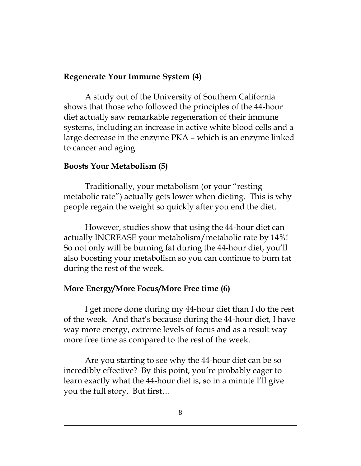#### **Regenerate Your Immune System (4)**

A study out of the University of Southern California shows that those who followed the principles of the 44-hour diet actually saw remarkable regeneration of their immune systems, including an increase in active white blood cells and a large decrease in the enzyme PKA – which is an enzyme linked to cancer and aging.

#### **Boosts Your Metabolism (5)**

Traditionally, your metabolism (or your "resting metabolic rate") actually gets lower when dieting. This is why people regain the weight so quickly after you end the diet.

However, studies show that using the 44-hour diet can actually INCREASE your metabolism/metabolic rate by 14%! So not only will be burning fat during the 44-hour diet, you'll also boosting your metabolism so you can continue to burn fat during the rest of the week.

#### **More Energy/More Focus/More Free time (6)**

I get more done during my 44-hour diet than I do the rest of the week. And that's because during the 44-hour diet, I have way more energy, extreme levels of focus and as a result way more free time as compared to the rest of the week.

Are you starting to see why the 44-hour diet can be so incredibly effective? By this point, you're probably eager to learn exactly what the 44-hour diet is, so in a minute I'll give you the full story. But first…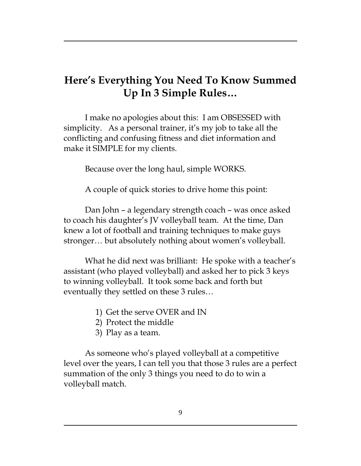# **Here's Everything You Need To Know Summed Up In 3 Simple Rules…**

I make no apologies about this: I am OBSESSED with simplicity. As a personal trainer, it's my job to take all the conflicting and confusing fitness and diet information and make it SIMPLE for my clients.

Because over the long haul, simple WORKS.

A couple of quick stories to drive home this point:

Dan John – a legendary strength coach – was once asked to coach his daughter's JV volleyball team. At the time, Dan knew a lot of football and training techniques to make guys stronger… but absolutely nothing about women's volleyball.

What he did next was brilliant: He spoke with a teacher's assistant (who played volleyball) and asked her to pick 3 keys to winning volleyball. It took some back and forth but eventually they settled on these 3 rules…

- 1) Get the serve OVER and IN
- 2) Protect the middle
- 3) Play as a team.

As someone who's played volleyball at a competitive level over the years, I can tell you that those 3 rules are a perfect summation of the only 3 things you need to do to win a volleyball match.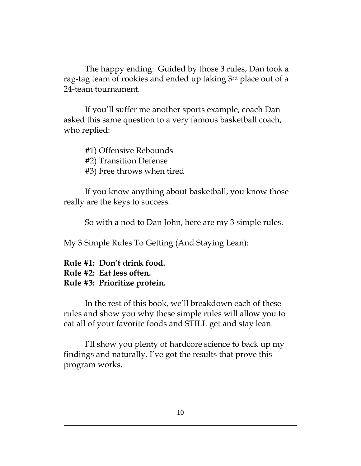The happy ending: Guided by those 3 rules, Dan took a rag-tag team of rookies and ended up taking 3rd place out of a 24-team tournament.

If you'll suffer me another sports example, coach Dan asked this same question to a very famous basketball coach, who replied:

#1) Offensive Rebounds #2) Transition Defense #3) Free throws when tired

If you know anything about basketball, you know those really are the keys to success.

So with a nod to Dan John, here are my 3 simple rules.

My 3 Simple Rules To Getting (And Staying Lean):

#### **Rule #1: Don't drink food. Rule #2: Eat less often. Rule #3: Prioritize protein.**

In the rest of this book, we'll breakdown each of these rules and show you why these simple rules will allow you to eat all of your favorite foods and STILL get and stay lean.

I'll show you plenty of hardcore science to back up my findings and naturally, I've got the results that prove this program works.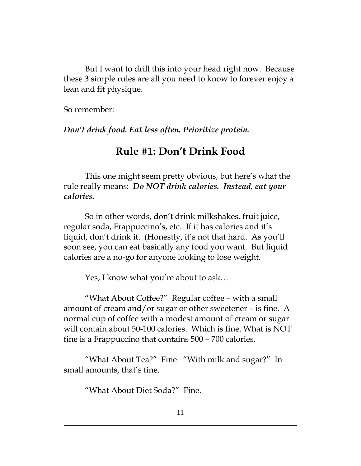But I want to drill this into your head right now. Because these 3 simple rules are all you need to know to forever enjoy a lean and fit physique.

So remember:

*Don't drink food. Eat less often. Prioritize protein.* 

# **Rule #1: Don't Drink Food**

This one might seem pretty obvious, but here's what the rule really means: *Do NOT drink calories. Instead, eat your calories.* 

So in other words, don't drink milkshakes, fruit juice, regular soda, Frappuccino's, etc. If it has calories and it's liquid, don't drink it. (Honestly, it's not that hard. As you'll soon see, you can eat basically any food you want. But liquid calories are a no-go for anyone looking to lose weight.

Yes, I know what you're about to ask…

"What About Coffee?" Regular coffee – with a small amount of cream and/or sugar or other sweetener – is fine. A normal cup of coffee with a modest amount of cream or sugar will contain about 50-100 calories. Which is fine. What is NOT fine is a Frappuccino that contains 500 – 700 calories.

"What About Tea?" Fine. "With milk and sugar?" In small amounts, that's fine.

"What About Diet Soda?" Fine.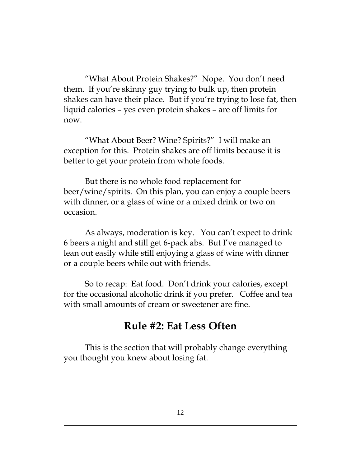"What About Protein Shakes?" Nope. You don't need them. If you're skinny guy trying to bulk up, then protein shakes can have their place. But if you're trying to lose fat, then liquid calories – yes even protein shakes – are off limits for now.

"What About Beer? Wine? Spirits?" I will make an exception for this. Protein shakes are off limits because it is better to get your protein from whole foods.

But there is no whole food replacement for beer/wine/spirits. On this plan, you can enjoy a couple beers with dinner, or a glass of wine or a mixed drink or two on occasion.

As always, moderation is key. You can't expect to drink 6 beers a night and still get 6-pack abs. But I've managed to lean out easily while still enjoying a glass of wine with dinner or a couple beers while out with friends.

So to recap: Eat food. Don't drink your calories, except for the occasional alcoholic drink if you prefer. Coffee and tea with small amounts of cream or sweetener are fine.

## **Rule #2: Eat Less Often**

This is the section that will probably change everything you thought you knew about losing fat.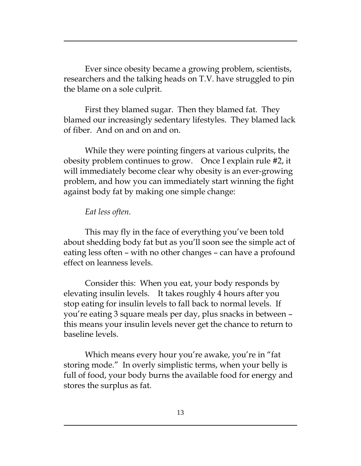Ever since obesity became a growing problem, scientists, researchers and the talking heads on T.V. have struggled to pin the blame on a sole culprit.

First they blamed sugar. Then they blamed fat. They blamed our increasingly sedentary lifestyles. They blamed lack of fiber. And on and on and on.

While they were pointing fingers at various culprits, the obesity problem continues to grow. Once I explain rule #2, it will immediately become clear why obesity is an ever-growing problem, and how you can immediately start winning the fight against body fat by making one simple change:

#### *Eat less often.*

This may fly in the face of everything you've been told about shedding body fat but as you'll soon see the simple act of eating less often – with no other changes – can have a profound effect on leanness levels.

Consider this: When you eat, your body responds by elevating insulin levels. It takes roughly 4 hours after you stop eating for insulin levels to fall back to normal levels. If you're eating 3 square meals per day, plus snacks in between – this means your insulin levels never get the chance to return to baseline levels.

Which means every hour you're awake, you're in "fat storing mode." In overly simplistic terms, when your belly is full of food, your body burns the available food for energy and stores the surplus as fat.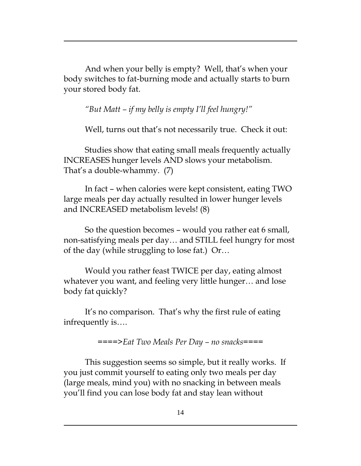And when your belly is empty? Well, that's when your body switches to fat-burning mode and actually starts to burn your stored body fat.

*"But Matt – if my belly is empty I'll feel hungry!"* 

Well, turns out that's not necessarily true. Check it out:

Studies show that eating small meals frequently actually INCREASES hunger levels AND slows your metabolism. That's a double-whammy. (7)

In fact – when calories were kept consistent, eating TWO large meals per day actually resulted in lower hunger levels and INCREASED metabolism levels! (8)

So the question becomes – would you rather eat 6 small, non-satisfying meals per day… and STILL feel hungry for most of the day (while struggling to lose fat.) Or…

Would you rather feast TWICE per day, eating almost whatever you want, and feeling very little hunger… and lose body fat quickly?

It's no comparison. That's why the first rule of eating infrequently is….

*====>Eat Two Meals Per Day – no snacks====*

This suggestion seems so simple, but it really works. If you just commit yourself to eating only two meals per day (large meals, mind you) with no snacking in between meals you'll find you can lose body fat and stay lean without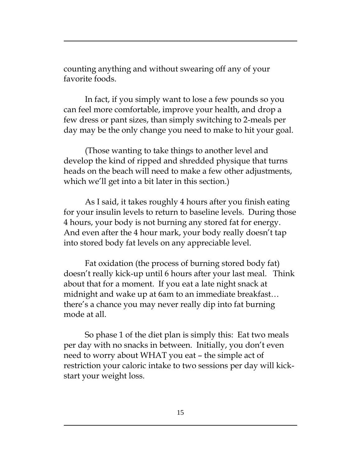counting anything and without swearing off any of your favorite foods.

In fact, if you simply want to lose a few pounds so you can feel more comfortable, improve your health, and drop a few dress or pant sizes, than simply switching to 2-meals per day may be the only change you need to make to hit your goal.

(Those wanting to take things to another level and develop the kind of ripped and shredded physique that turns heads on the beach will need to make a few other adjustments, which we'll get into a bit later in this section.)

As I said, it takes roughly 4 hours after you finish eating for your insulin levels to return to baseline levels. During those 4 hours, your body is not burning any stored fat for energy. And even after the 4 hour mark, your body really doesn't tap into stored body fat levels on any appreciable level.

Fat oxidation (the process of burning stored body fat) doesn't really kick-up until 6 hours after your last meal. Think about that for a moment. If you eat a late night snack at midnight and wake up at 6am to an immediate breakfast… there's a chance you may never really dip into fat burning mode at all.

So phase 1 of the diet plan is simply this: Eat two meals per day with no snacks in between. Initially, you don't even need to worry about WHAT you eat – the simple act of restriction your caloric intake to two sessions per day will kickstart your weight loss.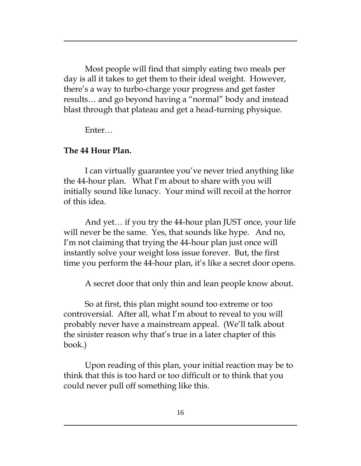Most people will find that simply eating two meals per day is all it takes to get them to their ideal weight. However, there's a way to turbo-charge your progress and get faster results… and go beyond having a "normal" body and instead blast through that plateau and get a head-turning physique.

Enter…

## **The 44 Hour Plan.**

I can virtually guarantee you've never tried anything like the 44-hour plan. What I'm about to share with you will initially sound like lunacy. Your mind will recoil at the horror of this idea.

And yet… if you try the 44-hour plan JUST once, your life will never be the same. Yes, that sounds like hype. And no, I'm not claiming that trying the 44-hour plan just once will instantly solve your weight loss issue forever. But, the first time you perform the 44-hour plan, it's like a secret door opens.

A secret door that only thin and lean people know about.

So at first, this plan might sound too extreme or too controversial. After all, what I'm about to reveal to you will probably never have a mainstream appeal. (We'll talk about the sinister reason why that's true in a later chapter of this book.)

Upon reading of this plan, your initial reaction may be to think that this is too hard or too difficult or to think that you could never pull off something like this.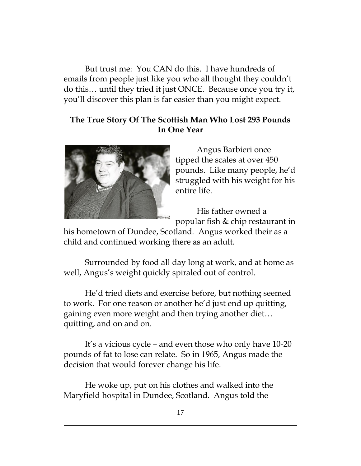But trust me: You CAN do this. I have hundreds of emails from people just like you who all thought they couldn't do this… until they tried it just ONCE. Because once you try it, you'll discover this plan is far easier than you might expect.

#### **The True Story Of The Scottish Man Who Lost 293 Pounds In One Year**



Angus Barbieri once tipped the scales at over 450 pounds. Like many people, he'd struggled with his weight for his entire life.

His father owned a popular fish & chip restaurant in

his hometown of Dundee, Scotland. Angus worked their as a child and continued working there as an adult.

Surrounded by food all day long at work, and at home as well, Angus's weight quickly spiraled out of control.

He'd tried diets and exercise before, but nothing seemed to work. For one reason or another he'd just end up quitting, gaining even more weight and then trying another diet… quitting, and on and on.

It's a vicious cycle – and even those who only have 10-20 pounds of fat to lose can relate. So in 1965, Angus made the decision that would forever change his life.

He woke up, put on his clothes and walked into the Maryfield hospital in Dundee, Scotland. Angus told the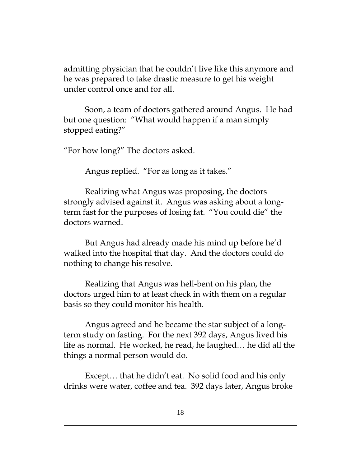admitting physician that he couldn't live like this anymore and he was prepared to take drastic measure to get his weight under control once and for all.

Soon, a team of doctors gathered around Angus. He had but one question: "What would happen if a man simply stopped eating?"

"For how long?" The doctors asked.

Angus replied. "For as long as it takes."

Realizing what Angus was proposing, the doctors strongly advised against it. Angus was asking about a longterm fast for the purposes of losing fat. "You could die" the doctors warned.

But Angus had already made his mind up before he'd walked into the hospital that day. And the doctors could do nothing to change his resolve.

Realizing that Angus was hell-bent on his plan, the doctors urged him to at least check in with them on a regular basis so they could monitor his health.

Angus agreed and he became the star subject of a longterm study on fasting. For the next 392 days, Angus lived his life as normal. He worked, he read, he laughed… he did all the things a normal person would do.

Except… that he didn't eat. No solid food and his only drinks were water, coffee and tea. 392 days later, Angus broke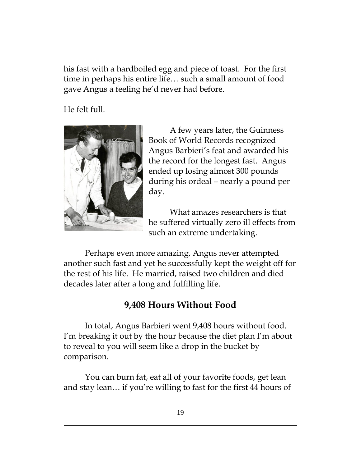his fast with a hardboiled egg and piece of toast. For the first time in perhaps his entire life… such a small amount of food gave Angus a feeling he'd never had before.

He felt full.



A few years later, the Guinness Book of World Records recognized Angus Barbieri's feat and awarded his the record for the longest fast. Angus ended up losing almost 300 pounds during his ordeal – nearly a pound per day.

What amazes researchers is that he suffered virtually zero ill effects from such an extreme undertaking.

Perhaps even more amazing, Angus never attempted another such fast and yet he successfully kept the weight off for the rest of his life. He married, raised two children and died decades later after a long and fulfilling life.

## **9,408 Hours Without Food**

In total, Angus Barbieri went 9,408 hours without food. I'm breaking it out by the hour because the diet plan I'm about to reveal to you will seem like a drop in the bucket by comparison.

You can burn fat, eat all of your favorite foods, get lean and stay lean… if you're willing to fast for the first 44 hours of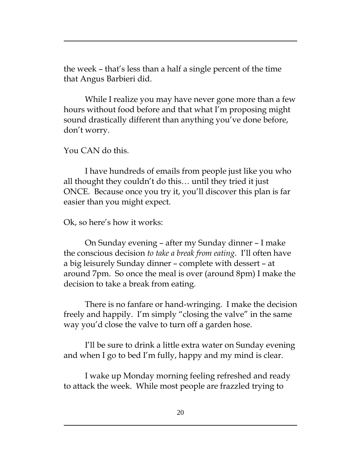the week – that's less than a half a single percent of the time that Angus Barbieri did.

While I realize you may have never gone more than a few hours without food before and that what I'm proposing might sound drastically different than anything you've done before, don't worry.

You CAN do this.

I have hundreds of emails from people just like you who all thought they couldn't do this… until they tried it just ONCE. Because once you try it, you'll discover this plan is far easier than you might expect.

Ok, so here's how it works:

On Sunday evening – after my Sunday dinner – I make the conscious decision *to take a break from eating*. I'll often have a big leisurely Sunday dinner – complete with dessert – at around 7pm. So once the meal is over (around 8pm) I make the decision to take a break from eating.

There is no fanfare or hand-wringing. I make the decision freely and happily. I'm simply "closing the valve" in the same way you'd close the valve to turn off a garden hose.

I'll be sure to drink a little extra water on Sunday evening and when I go to bed I'm fully, happy and my mind is clear.

I wake up Monday morning feeling refreshed and ready to attack the week. While most people are frazzled trying to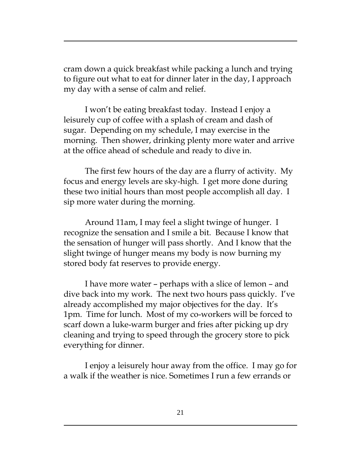cram down a quick breakfast while packing a lunch and trying to figure out what to eat for dinner later in the day, I approach my day with a sense of calm and relief.

I won't be eating breakfast today. Instead I enjoy a leisurely cup of coffee with a splash of cream and dash of sugar. Depending on my schedule, I may exercise in the morning. Then shower, drinking plenty more water and arrive at the office ahead of schedule and ready to dive in.

The first few hours of the day are a flurry of activity. My focus and energy levels are sky-high. I get more done during these two initial hours than most people accomplish all day. I sip more water during the morning.

Around 11am, I may feel a slight twinge of hunger. I recognize the sensation and I smile a bit. Because I know that the sensation of hunger will pass shortly. And I know that the slight twinge of hunger means my body is now burning my stored body fat reserves to provide energy.

I have more water – perhaps with a slice of lemon – and dive back into my work. The next two hours pass quickly. I've already accomplished my major objectives for the day. It's 1pm. Time for lunch. Most of my co-workers will be forced to scarf down a luke-warm burger and fries after picking up dry cleaning and trying to speed through the grocery store to pick everything for dinner.

I enjoy a leisurely hour away from the office. I may go for a walk if the weather is nice. Sometimes I run a few errands or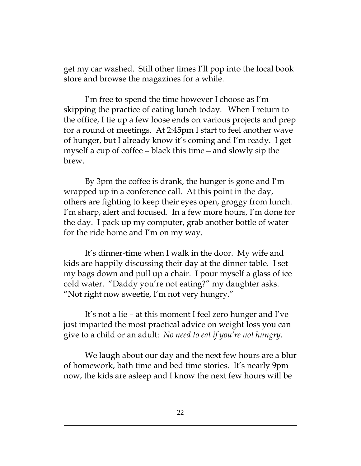get my car washed. Still other times I'll pop into the local book store and browse the magazines for a while.

I'm free to spend the time however I choose as I'm skipping the practice of eating lunch today. When I return to the office, I tie up a few loose ends on various projects and prep for a round of meetings. At 2:45pm I start to feel another wave of hunger, but I already know it's coming and I'm ready. I get myself a cup of coffee – black this time—and slowly sip the brew.

By 3pm the coffee is drank, the hunger is gone and I'm wrapped up in a conference call. At this point in the day, others are fighting to keep their eyes open, groggy from lunch. I'm sharp, alert and focused. In a few more hours, I'm done for the day. I pack up my computer, grab another bottle of water for the ride home and I'm on my way.

It's dinner-time when I walk in the door. My wife and kids are happily discussing their day at the dinner table. I set my bags down and pull up a chair. I pour myself a glass of ice cold water. "Daddy you're not eating?" my daughter asks. "Not right now sweetie, I'm not very hungry."

It's not a lie – at this moment I feel zero hunger and I've just imparted the most practical advice on weight loss you can give to a child or an adult: *No need to eat if you're not hungry.*

We laugh about our day and the next few hours are a blur of homework, bath time and bed time stories. It's nearly 9pm now, the kids are asleep and I know the next few hours will be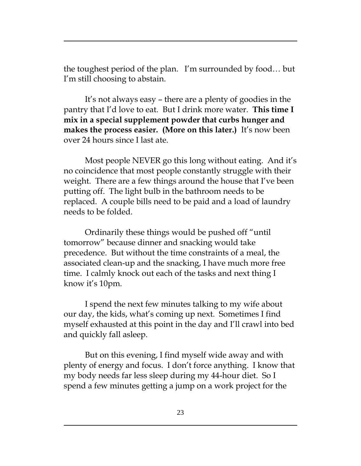the toughest period of the plan. I'm surrounded by food… but I'm still choosing to abstain.

It's not always easy – there are a plenty of goodies in the pantry that I'd love to eat. But I drink more water. **This time I mix in a special supplement powder that curbs hunger and makes the process easier. (More on this later.)** It's now been over 24 hours since I last ate.

Most people NEVER go this long without eating. And it's no coincidence that most people constantly struggle with their weight. There are a few things around the house that I've been putting off. The light bulb in the bathroom needs to be replaced. A couple bills need to be paid and a load of laundry needs to be folded.

Ordinarily these things would be pushed off "until tomorrow" because dinner and snacking would take precedence. But without the time constraints of a meal, the associated clean-up and the snacking, I have much more free time. I calmly knock out each of the tasks and next thing I know it's 10pm.

I spend the next few minutes talking to my wife about our day, the kids, what's coming up next. Sometimes I find myself exhausted at this point in the day and I'll crawl into bed and quickly fall asleep.

But on this evening, I find myself wide away and with plenty of energy and focus. I don't force anything. I know that my body needs far less sleep during my 44-hour diet. So I spend a few minutes getting a jump on a work project for the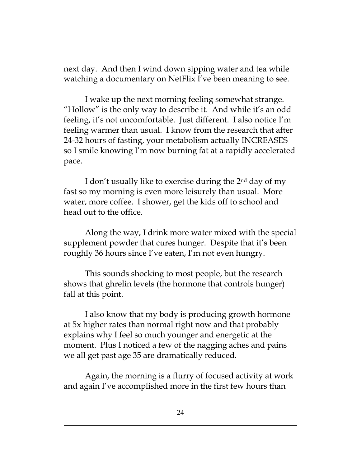next day. And then I wind down sipping water and tea while watching a documentary on NetFlix I've been meaning to see.

I wake up the next morning feeling somewhat strange. "Hollow" is the only way to describe it. And while it's an odd feeling, it's not uncomfortable. Just different. I also notice I'm feeling warmer than usual. I know from the research that after 24-32 hours of fasting, your metabolism actually INCREASES so I smile knowing I'm now burning fat at a rapidly accelerated pace.

I don't usually like to exercise during the 2nd day of my fast so my morning is even more leisurely than usual. More water, more coffee. I shower, get the kids off to school and head out to the office.

Along the way, I drink more water mixed with the special supplement powder that cures hunger. Despite that it's been roughly 36 hours since I've eaten, I'm not even hungry.

This sounds shocking to most people, but the research shows that ghrelin levels (the hormone that controls hunger) fall at this point.

I also know that my body is producing growth hormone at 5x higher rates than normal right now and that probably explains why I feel so much younger and energetic at the moment. Plus I noticed a few of the nagging aches and pains we all get past age 35 are dramatically reduced.

Again, the morning is a flurry of focused activity at work and again I've accomplished more in the first few hours than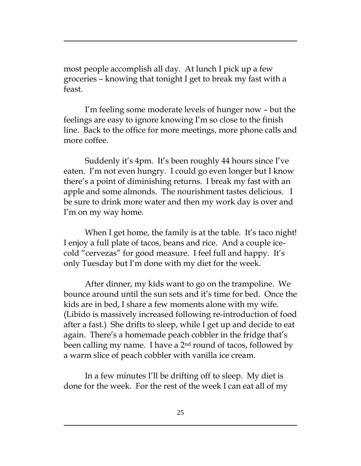most people accomplish all day. At lunch I pick up a few groceries – knowing that tonight I get to break my fast with a feast.

I'm feeling some moderate levels of hunger now – but the feelings are easy to ignore knowing I'm so close to the finish line. Back to the office for more meetings, more phone calls and more coffee.

Suddenly it's 4pm. It's been roughly 44 hours since I've eaten. I'm not even hungry. I could go even longer but I know there's a point of diminishing returns. I break my fast with an apple and some almonds. The nourishment tastes delicious. I be sure to drink more water and then my work day is over and I'm on my way home.

When I get home, the family is at the table. It's taco night! I enjoy a full plate of tacos, beans and rice. And a couple icecold "cervezas" for good measure. I feel full and happy. It's only Tuesday but I'm done with my diet for the week.

After dinner, my kids want to go on the trampoline. We bounce around until the sun sets and it's time for bed. Once the kids are in bed, I share a few moments alone with my wife. (Libido is massively increased following re-introduction of food after a fast.) She drifts to sleep, while I get up and decide to eat again. There's a homemade peach cobbler in the fridge that's been calling my name. I have a 2<sup>nd</sup> round of tacos, followed by a warm slice of peach cobbler with vanilla ice cream.

In a few minutes I'll be drifting off to sleep. My diet is done for the week. For the rest of the week I can eat all of my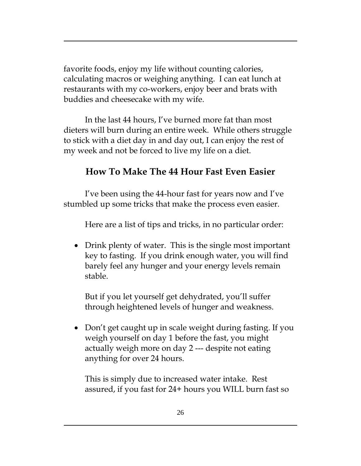favorite foods, enjoy my life without counting calories, calculating macros or weighing anything. I can eat lunch at restaurants with my co-workers, enjoy beer and brats with buddies and cheesecake with my wife.

In the last 44 hours, I've burned more fat than most dieters will burn during an entire week. While others struggle to stick with a diet day in and day out, I can enjoy the rest of my week and not be forced to live my life on a diet.

## **How To Make The 44 Hour Fast Even Easier**

I've been using the 44-hour fast for years now and I've stumbled up some tricks that make the process even easier.

Here are a list of tips and tricks, in no particular order:

• Drink plenty of water. This is the single most important key to fasting. If you drink enough water, you will find barely feel any hunger and your energy levels remain stable.

But if you let yourself get dehydrated, you'll suffer through heightened levels of hunger and weakness.

• Don't get caught up in scale weight during fasting. If you weigh yourself on day 1 before the fast, you might actually weigh more on day 2 --- despite not eating anything for over 24 hours.

This is simply due to increased water intake. Rest assured, if you fast for 24+ hours you WILL burn fast so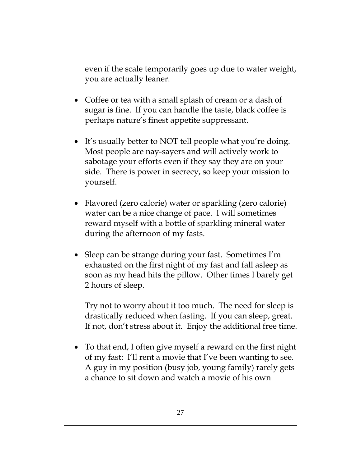even if the scale temporarily goes up due to water weight, you are actually leaner.

- Coffee or tea with a small splash of cream or a dash of sugar is fine. If you can handle the taste, black coffee is perhaps nature's finest appetite suppressant.
- It's usually better to NOT tell people what you're doing. Most people are nay-sayers and will actively work to sabotage your efforts even if they say they are on your side. There is power in secrecy, so keep your mission to yourself.
- Flavored (zero calorie) water or sparkling (zero calorie) water can be a nice change of pace. I will sometimes reward myself with a bottle of sparkling mineral water during the afternoon of my fasts.
- Sleep can be strange during your fast. Sometimes I'm exhausted on the first night of my fast and fall asleep as soon as my head hits the pillow. Other times I barely get 2 hours of sleep.

Try not to worry about it too much. The need for sleep is drastically reduced when fasting. If you can sleep, great. If not, don't stress about it. Enjoy the additional free time.

 To that end, I often give myself a reward on the first night of my fast: I'll rent a movie that I've been wanting to see. A guy in my position (busy job, young family) rarely gets a chance to sit down and watch a movie of his own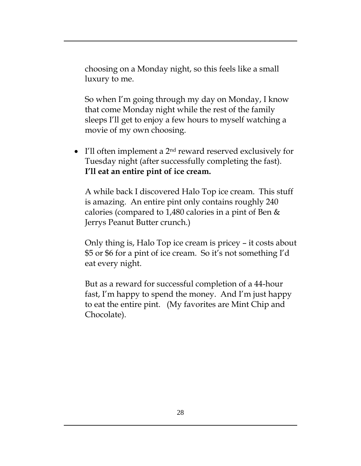choosing on a Monday night, so this feels like a small luxury to me.

So when I'm going through my day on Monday, I know that come Monday night while the rest of the family sleeps I'll get to enjoy a few hours to myself watching a movie of my own choosing.

 $\bullet$  I'll often implement a 2<sup>nd</sup> reward reserved exclusively for Tuesday night (after successfully completing the fast). **I'll eat an entire pint of ice cream.**

A while back I discovered Halo Top ice cream. This stuff is amazing. An entire pint only contains roughly 240 calories (compared to 1,480 calories in a pint of Ben & Jerrys Peanut Butter crunch.)

Only thing is, Halo Top ice cream is pricey – it costs about \$5 or \$6 for a pint of ice cream. So it's not something I'd eat every night.

But as a reward for successful completion of a 44-hour fast, I'm happy to spend the money. And I'm just happy to eat the entire pint. (My favorites are Mint Chip and Chocolate).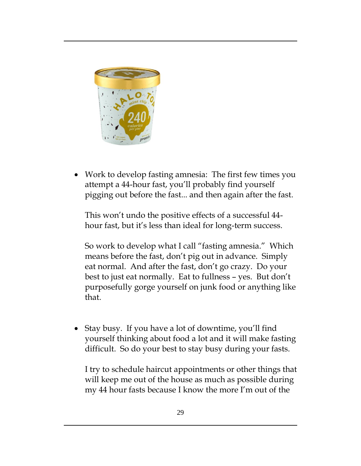

 Work to develop fasting amnesia: The first few times you attempt a 44-hour fast, you'll probably find yourself pigging out before the fast... and then again after the fast.

This won't undo the positive effects of a successful 44 hour fast, but it's less than ideal for long-term success.

So work to develop what I call "fasting amnesia." Which means before the fast, don't pig out in advance. Simply eat normal. And after the fast, don't go crazy. Do your best to just eat normally. Eat to fullness – yes. But don't purposefully gorge yourself on junk food or anything like that.

 Stay busy. If you have a lot of downtime, you'll find yourself thinking about food a lot and it will make fasting difficult. So do your best to stay busy during your fasts.

I try to schedule haircut appointments or other things that will keep me out of the house as much as possible during my 44 hour fasts because I know the more I'm out of the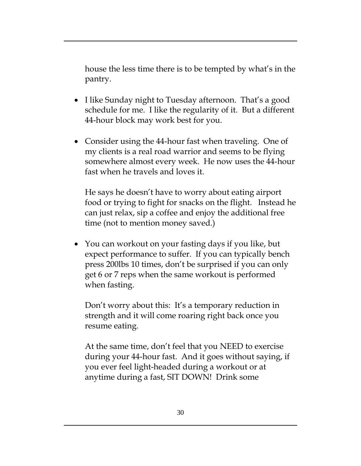house the less time there is to be tempted by what's in the pantry.

- I like Sunday night to Tuesday afternoon. That's a good schedule for me. I like the regularity of it. But a different 44-hour block may work best for you.
- Consider using the 44-hour fast when traveling. One of my clients is a real road warrior and seems to be flying somewhere almost every week. He now uses the 44-hour fast when he travels and loves it.

He says he doesn't have to worry about eating airport food or trying to fight for snacks on the flight. Instead he can just relax, sip a coffee and enjoy the additional free time (not to mention money saved.)

 You can workout on your fasting days if you like, but expect performance to suffer. If you can typically bench press 200lbs 10 times, don't be surprised if you can only get 6 or 7 reps when the same workout is performed when fasting.

Don't worry about this: It's a temporary reduction in strength and it will come roaring right back once you resume eating.

At the same time, don't feel that you NEED to exercise during your 44-hour fast. And it goes without saying, if you ever feel light-headed during a workout or at anytime during a fast, SIT DOWN! Drink some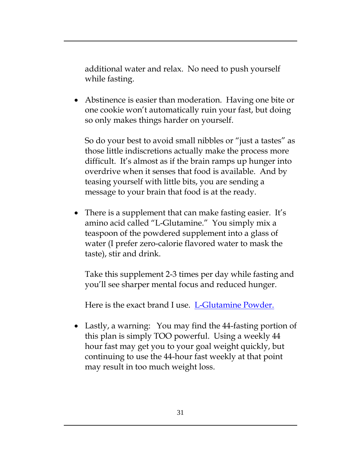additional water and relax. No need to push yourself while fasting.

• Abstinence is easier than moderation. Having one bite or one cookie won't automatically ruin your fast, but doing so only makes things harder on yourself.

So do your best to avoid small nibbles or "just a tastes" as those little indiscretions actually make the process more difficult. It's almost as if the brain ramps up hunger into overdrive when it senses that food is available. And by teasing yourself with little bits, you are sending a message to your brain that food is at the ready.

• There is a supplement that can make fasting easier. It's amino acid called "L-Glutamine." You simply mix a teaspoon of the powdered supplement into a glass of water (I prefer zero-calorie flavored water to mask the taste), stir and drink.

Take this supplement 2-3 times per day while fasting and you'll see sharper mental focus and reduced hunger.

Here is the exact brand I use. [L-Glutamine Powder.](http://amzn.to/2o1fEjg)

 Lastly, a warning: You may find the 44-fasting portion of this plan is simply TOO powerful. Using a weekly 44 hour fast may get you to your goal weight quickly, but continuing to use the 44-hour fast weekly at that point may result in too much weight loss.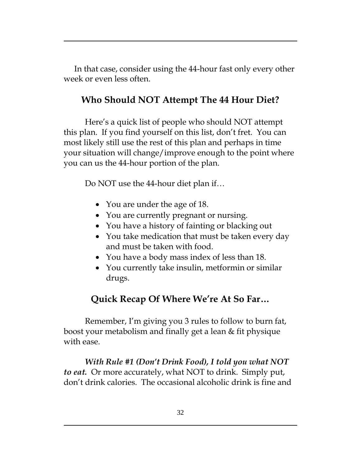In that case, consider using the 44-hour fast only every other week or even less often.

## **Who Should NOT Attempt The 44 Hour Diet?**

Here's a quick list of people who should NOT attempt this plan. If you find yourself on this list, don't fret. You can most likely still use the rest of this plan and perhaps in time your situation will change/improve enough to the point where you can us the 44-hour portion of the plan.

Do NOT use the 44-hour diet plan if…

- You are under the age of 18.
- You are currently pregnant or nursing.
- You have a history of fainting or blacking out
- You take medication that must be taken every day and must be taken with food.
- You have a body mass index of less than 18.
- You currently take insulin, metformin or similar drugs.

## **Quick Recap Of Where We're At So Far…**

Remember, I'm giving you 3 rules to follow to burn fat, boost your metabolism and finally get a lean & fit physique with ease.

*With Rule #1 (Don't Drink Food), I told you what NOT to eat.* Or more accurately, what NOT to drink. Simply put, don't drink calories. The occasional alcoholic drink is fine and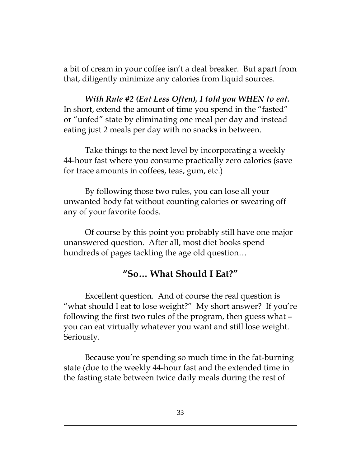a bit of cream in your coffee isn't a deal breaker. But apart from that, diligently minimize any calories from liquid sources.

*With Rule #2 (Eat Less Often), I told you WHEN to eat.* In short, extend the amount of time you spend in the "fasted" or "unfed" state by eliminating one meal per day and instead eating just 2 meals per day with no snacks in between.

Take things to the next level by incorporating a weekly 44-hour fast where you consume practically zero calories (save for trace amounts in coffees, teas, gum, etc.)

By following those two rules, you can lose all your unwanted body fat without counting calories or swearing off any of your favorite foods.

Of course by this point you probably still have one major unanswered question. After all, most diet books spend hundreds of pages tackling the age old question…

#### **"So… What Should I Eat?"**

Excellent question. And of course the real question is "what should I eat to lose weight?" My short answer? If you're following the first two rules of the program, then guess what – you can eat virtually whatever you want and still lose weight. Seriously.

Because you're spending so much time in the fat-burning state (due to the weekly 44-hour fast and the extended time in the fasting state between twice daily meals during the rest of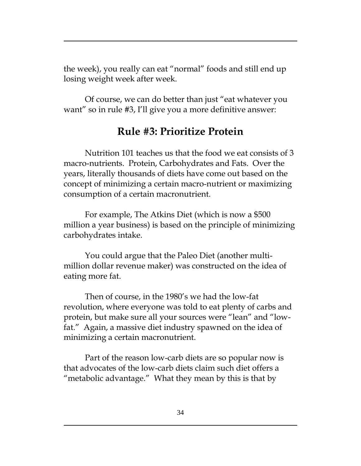the week), you really can eat "normal" foods and still end up losing weight week after week.

Of course, we can do better than just "eat whatever you want" so in rule #3, I'll give you a more definitive answer:

# **Rule #3: Prioritize Protein**

Nutrition 101 teaches us that the food we eat consists of 3 macro-nutrients. Protein, Carbohydrates and Fats. Over the years, literally thousands of diets have come out based on the concept of minimizing a certain macro-nutrient or maximizing consumption of a certain macronutrient.

For example, The Atkins Diet (which is now a \$500 million a year business) is based on the principle of minimizing carbohydrates intake.

You could argue that the Paleo Diet (another multimillion dollar revenue maker) was constructed on the idea of eating more fat.

Then of course, in the 1980's we had the low-fat revolution, where everyone was told to eat plenty of carbs and protein, but make sure all your sources were "lean" and "lowfat." Again, a massive diet industry spawned on the idea of minimizing a certain macronutrient.

Part of the reason low-carb diets are so popular now is that advocates of the low-carb diets claim such diet offers a "metabolic advantage." What they mean by this is that by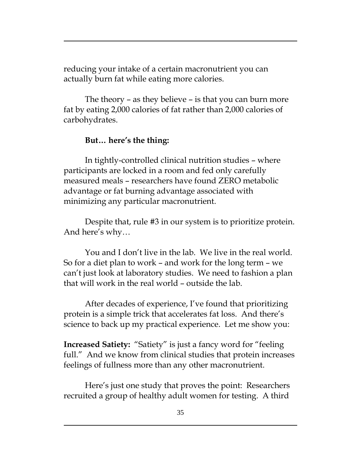reducing your intake of a certain macronutrient you can actually burn fat while eating more calories.

The theory – as they believe – is that you can burn more fat by eating 2,000 calories of fat rather than 2,000 calories of carbohydrates.

#### **But… here's the thing:**

In tightly-controlled clinical nutrition studies – where participants are locked in a room and fed only carefully measured meals – researchers have found ZERO metabolic advantage or fat burning advantage associated with minimizing any particular macronutrient.

Despite that, rule #3 in our system is to prioritize protein. And here's why…

You and I don't live in the lab. We live in the real world. So for a diet plan to work – and work for the long term – we can't just look at laboratory studies. We need to fashion a plan that will work in the real world – outside the lab.

After decades of experience, I've found that prioritizing protein is a simple trick that accelerates fat loss. And there's science to back up my practical experience. Let me show you:

**Increased Satiety:** "Satiety" is just a fancy word for "feeling full." And we know from clinical studies that protein increases feelings of fullness more than any other macronutrient.

Here's just one study that proves the point: Researchers recruited a group of healthy adult women for testing. A third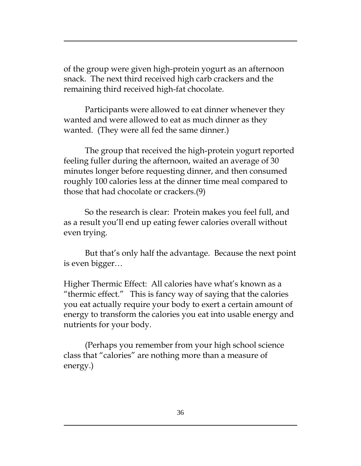of the group were given high-protein yogurt as an afternoon snack. The next third received high carb crackers and the remaining third received high-fat chocolate.

Participants were allowed to eat dinner whenever they wanted and were allowed to eat as much dinner as they wanted. (They were all fed the same dinner.)

The group that received the high-protein yogurt reported feeling fuller during the afternoon, waited an average of 30 minutes longer before requesting dinner, and then consumed roughly 100 calories less at the dinner time meal compared to those that had chocolate or crackers.(9)

So the research is clear: Protein makes you feel full, and as a result you'll end up eating fewer calories overall without even trying.

But that's only half the advantage. Because the next point is even bigger…

Higher Thermic Effect: All calories have what's known as a "thermic effect." This is fancy way of saying that the calories you eat actually require your body to exert a certain amount of energy to transform the calories you eat into usable energy and nutrients for your body.

(Perhaps you remember from your high school science class that "calories" are nothing more than a measure of energy.)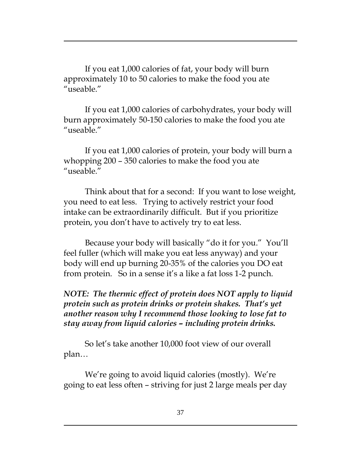If you eat 1,000 calories of fat, your body will burn approximately 10 to 50 calories to make the food you ate "useable."

If you eat 1,000 calories of carbohydrates, your body will burn approximately 50-150 calories to make the food you ate "useable."

If you eat 1,000 calories of protein, your body will burn a whopping 200 – 350 calories to make the food you ate "useable."

Think about that for a second: If you want to lose weight, you need to eat less. Trying to actively restrict your food intake can be extraordinarily difficult. But if you prioritize protein, you don't have to actively try to eat less.

Because your body will basically "do it for you." You'll feel fuller (which will make you eat less anyway) and your body will end up burning 20-35% of the calories you DO eat from protein. So in a sense it's a like a fat loss 1-2 punch.

#### *NOTE: The thermic effect of protein does NOT apply to liquid protein such as protein drinks or protein shakes. That's yet another reason why I recommend those looking to lose fat to stay away from liquid calories – including protein drinks.*

So let's take another 10,000 foot view of our overall plan…

We're going to avoid liquid calories (mostly). We're going to eat less often – striving for just 2 large meals per day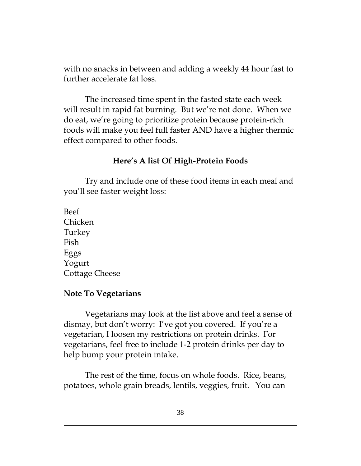with no snacks in between and adding a weekly 44 hour fast to further accelerate fat loss.

The increased time spent in the fasted state each week will result in rapid fat burning. But we're not done. When we do eat, we're going to prioritize protein because protein-rich foods will make you feel full faster AND have a higher thermic effect compared to other foods.

#### **Here's A list Of High-Protein Foods**

Try and include one of these food items in each meal and you'll see faster weight loss:

Beef Chicken Turkey Fish Eggs Yogurt Cottage Cheese

#### **Note To Vegetarians**

Vegetarians may look at the list above and feel a sense of dismay, but don't worry: I've got you covered. If you're a vegetarian, I loosen my restrictions on protein drinks. For vegetarians, feel free to include 1-2 protein drinks per day to help bump your protein intake.

The rest of the time, focus on whole foods. Rice, beans, potatoes, whole grain breads, lentils, veggies, fruit. You can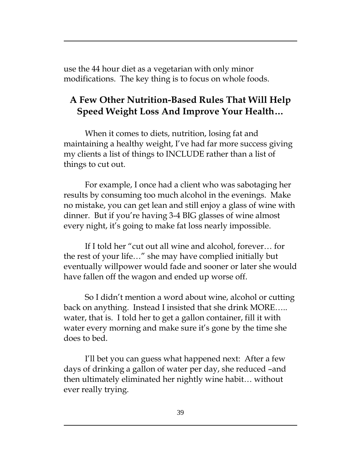use the 44 hour diet as a vegetarian with only minor modifications. The key thing is to focus on whole foods.

## **A Few Other Nutrition-Based Rules That Will Help Speed Weight Loss And Improve Your Health…**

When it comes to diets, nutrition, losing fat and maintaining a healthy weight, I've had far more success giving my clients a list of things to INCLUDE rather than a list of things to cut out.

For example, I once had a client who was sabotaging her results by consuming too much alcohol in the evenings. Make no mistake, you can get lean and still enjoy a glass of wine with dinner. But if you're having 3-4 BIG glasses of wine almost every night, it's going to make fat loss nearly impossible.

If I told her "cut out all wine and alcohol, forever… for the rest of your life…" she may have complied initially but eventually willpower would fade and sooner or later she would have fallen off the wagon and ended up worse off.

So I didn't mention a word about wine, alcohol or cutting back on anything. Instead I insisted that she drink MORE….. water, that is. I told her to get a gallon container, fill it with water every morning and make sure it's gone by the time she does to bed.

I'll bet you can guess what happened next: After a few days of drinking a gallon of water per day, she reduced –and then ultimately eliminated her nightly wine habit… without ever really trying.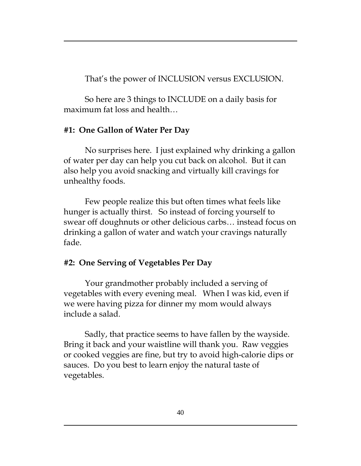That's the power of INCLUSION versus EXCLUSION.

So here are 3 things to INCLUDE on a daily basis for maximum fat loss and health…

## **#1: One Gallon of Water Per Day**

No surprises here. I just explained why drinking a gallon of water per day can help you cut back on alcohol. But it can also help you avoid snacking and virtually kill cravings for unhealthy foods.

Few people realize this but often times what feels like hunger is actually thirst. So instead of forcing yourself to swear off doughnuts or other delicious carbs… instead focus on drinking a gallon of water and watch your cravings naturally fade.

## **#2: One Serving of Vegetables Per Day**

Your grandmother probably included a serving of vegetables with every evening meal. When I was kid, even if we were having pizza for dinner my mom would always include a salad.

Sadly, that practice seems to have fallen by the wayside. Bring it back and your waistline will thank you. Raw veggies or cooked veggies are fine, but try to avoid high-calorie dips or sauces. Do you best to learn enjoy the natural taste of vegetables.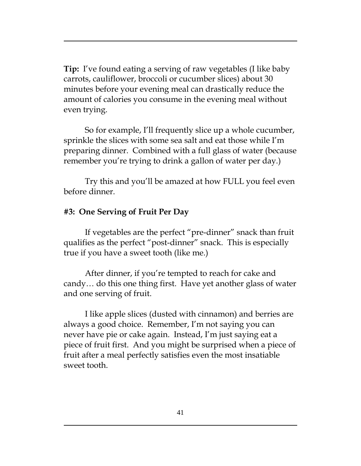**Tip:** I've found eating a serving of raw vegetables (I like baby carrots, cauliflower, broccoli or cucumber slices) about 30 minutes before your evening meal can drastically reduce the amount of calories you consume in the evening meal without even trying.

So for example, I'll frequently slice up a whole cucumber, sprinkle the slices with some sea salt and eat those while I'm preparing dinner. Combined with a full glass of water (because remember you're trying to drink a gallon of water per day.)

Try this and you'll be amazed at how FULL you feel even before dinner.

#### **#3: One Serving of Fruit Per Day**

If vegetables are the perfect "pre-dinner" snack than fruit qualifies as the perfect "post-dinner" snack. This is especially true if you have a sweet tooth (like me.)

After dinner, if you're tempted to reach for cake and candy… do this one thing first. Have yet another glass of water and one serving of fruit.

I like apple slices (dusted with cinnamon) and berries are always a good choice. Remember, I'm not saying you can never have pie or cake again. Instead, I'm just saying eat a piece of fruit first. And you might be surprised when a piece of fruit after a meal perfectly satisfies even the most insatiable sweet tooth.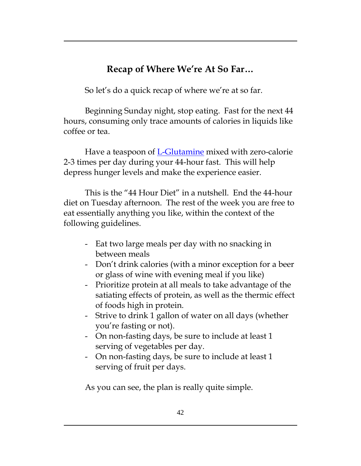# **Recap of Where We're At So Far…**

So let's do a quick recap of where we're at so far.

Beginning Sunday night, stop eating. Fast for the next 44 hours, consuming only trace amounts of calories in liquids like coffee or tea.

Have a teaspoon of [L-Glutamine](http://amzn.to/2o1fEjg) mixed with zero-calorie 2-3 times per day during your 44-hour fast. This will help depress hunger levels and make the experience easier.

This is the "44 Hour Diet" in a nutshell. End the 44-hour diet on Tuesday afternoon. The rest of the week you are free to eat essentially anything you like, within the context of the following guidelines.

- Eat two large meals per day with no snacking in between meals
- Don't drink calories (with a minor exception for a beer or glass of wine with evening meal if you like)
- Prioritize protein at all meals to take advantage of the satiating effects of protein, as well as the thermic effect of foods high in protein.
- Strive to drink 1 gallon of water on all days (whether you're fasting or not).
- On non-fasting days, be sure to include at least 1 serving of vegetables per day.
- On non-fasting days, be sure to include at least 1 serving of fruit per days.

As you can see, the plan is really quite simple.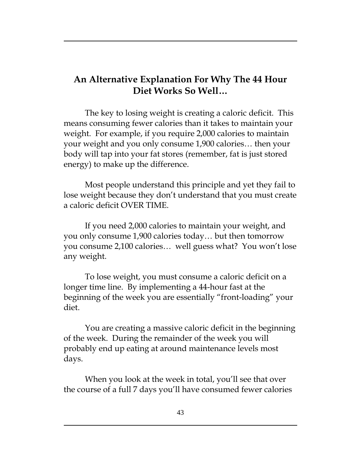## **An Alternative Explanation For Why The 44 Hour Diet Works So Well…**

The key to losing weight is creating a caloric deficit. This means consuming fewer calories than it takes to maintain your weight. For example, if you require 2,000 calories to maintain your weight and you only consume 1,900 calories… then your body will tap into your fat stores (remember, fat is just stored energy) to make up the difference.

Most people understand this principle and yet they fail to lose weight because they don't understand that you must create a caloric deficit OVER TIME.

If you need 2,000 calories to maintain your weight, and you only consume 1,900 calories today… but then tomorrow you consume 2,100 calories… well guess what? You won't lose any weight.

To lose weight, you must consume a caloric deficit on a longer time line. By implementing a 44-hour fast at the beginning of the week you are essentially "front-loading" your diet.

You are creating a massive caloric deficit in the beginning of the week. During the remainder of the week you will probably end up eating at around maintenance levels most days.

When you look at the week in total, you'll see that over the course of a full 7 days you'll have consumed fewer calories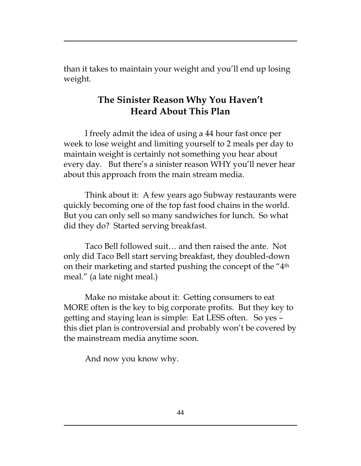than it takes to maintain your weight and you'll end up losing weight.

## **The Sinister Reason Why You Haven't Heard About This Plan**

I freely admit the idea of using a 44 hour fast once per week to lose weight and limiting yourself to 2 meals per day to maintain weight is certainly not something you hear about every day. But there's a sinister reason WHY you'll never hear about this approach from the main stream media.

Think about it: A few years ago Subway restaurants were quickly becoming one of the top fast food chains in the world. But you can only sell so many sandwiches for lunch. So what did they do? Started serving breakfast.

Taco Bell followed suit… and then raised the ante. Not only did Taco Bell start serving breakfast, they doubled-down on their marketing and started pushing the concept of the "4th meal." (a late night meal.)

Make no mistake about it: Getting consumers to eat MORE often is the key to big corporate profits. But they key to getting and staying lean is simple: Eat LESS often. So yes – this diet plan is controversial and probably won't be covered by the mainstream media anytime soon.

And now you know why.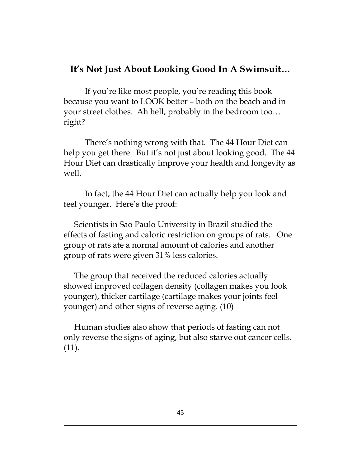## **It's Not Just About Looking Good In A Swimsuit…**

If you're like most people, you're reading this book because you want to LOOK better – both on the beach and in your street clothes. Ah hell, probably in the bedroom too… right?

There's nothing wrong with that. The 44 Hour Diet can help you get there. But it's not just about looking good. The 44 Hour Diet can drastically improve your health and longevity as well.

In fact, the 44 Hour Diet can actually help you look and feel younger. Here's the proof:

Scientists in Sao Paulo University in Brazil studied the effects of fasting and caloric restriction on groups of rats. One group of rats ate a normal amount of calories and another group of rats were given 31% less calories.

The group that received the reduced calories actually showed improved collagen density (collagen makes you look younger), thicker cartilage (cartilage makes your joints feel younger) and other signs of reverse aging. (10)

Human studies also show that periods of fasting can not only reverse the signs of aging, but also starve out cancer cells. (11).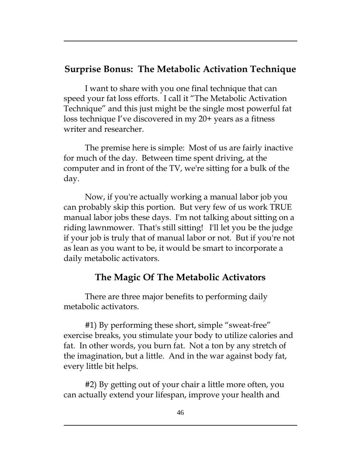## **Surprise Bonus: The Metabolic Activation Technique**

I want to share with you one final technique that can speed your fat loss efforts. I call it "The Metabolic Activation Technique" and this just might be the single most powerful fat loss technique I've discovered in my 20+ years as a fitness writer and researcher.

The premise here is simple: Most of us are fairly inactive for much of the day. Between time spent driving, at the computer and in front of the TV, we're sitting for a bulk of the day.

Now, if you're actually working a manual labor job you can probably skip this portion. But very few of us work TRUE manual labor jobs these days. I'm not talking about sitting on a riding lawnmower. That's still sitting! I'll let you be the judge if your job is truly that of manual labor or not. But if you're not as lean as you want to be, it would be smart to incorporate a daily metabolic activators.

## **The Magic Of The Metabolic Activators**

There are three major benefits to performing daily metabolic activators.

#1) By performing these short, simple "sweat-free" exercise breaks, you stimulate your body to utilize calories and fat. In other words, you burn fat. Not a ton by any stretch of the imagination, but a little. And in the war against body fat, every little bit helps.

#2) By getting out of your chair a little more often, you can actually extend your lifespan, improve your health and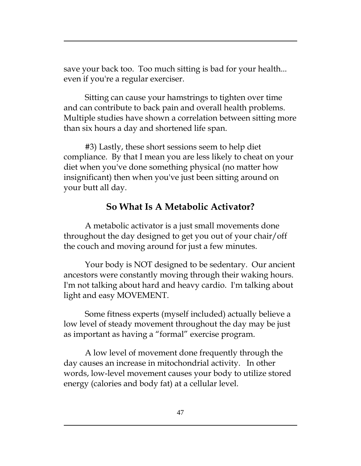save your back too. Too much sitting is bad for your health... even if you're a regular exerciser.

Sitting can cause your hamstrings to tighten over time and can contribute to back pain and overall health problems. Multiple studies have shown a correlation between sitting more than six hours a day and shortened life span.

#3) Lastly, these short sessions seem to help diet compliance. By that I mean you are less likely to cheat on your diet when you've done something physical (no matter how insignificant) then when you've just been sitting around on your butt all day.

## **So What Is A Metabolic Activator?**

A metabolic activator is a just small movements done throughout the day designed to get you out of your chair/off the couch and moving around for just a few minutes.

Your body is NOT designed to be sedentary. Our ancient ancestors were constantly moving through their waking hours. I'm not talking about hard and heavy cardio. I'm talking about light and easy MOVEMENT.

Some fitness experts (myself included) actually believe a low level of steady movement throughout the day may be just as important as having a "formal" exercise program.

A low level of movement done frequently through the day causes an increase in mitochondrial activity. In other words, low-level movement causes your body to utilize stored energy (calories and body fat) at a cellular level.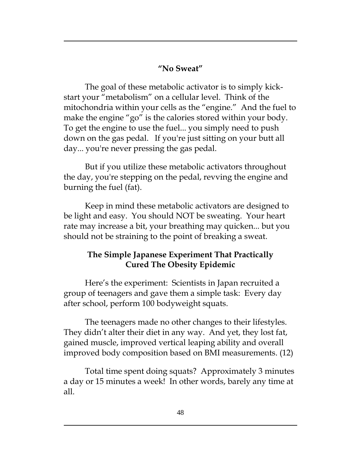#### **"No Sweat"**

The goal of these metabolic activator is to simply kickstart your "metabolism" on a cellular level. Think of the mitochondria within your cells as the "engine." And the fuel to make the engine "go" is the calories stored within your body. To get the engine to use the fuel... you simply need to push down on the gas pedal. If you're just sitting on your butt all day... you're never pressing the gas pedal.

But if you utilize these metabolic activators throughout the day, you're stepping on the pedal, revving the engine and burning the fuel (fat).

Keep in mind these metabolic activators are designed to be light and easy. You should NOT be sweating. Your heart rate may increase a bit, your breathing may quicken... but you should not be straining to the point of breaking a sweat.

## **The Simple Japanese Experiment That Practically Cured The Obesity Epidemic**

Here's the experiment: Scientists in Japan recruited a group of teenagers and gave them a simple task: Every day after school, perform 100 bodyweight squats.

The teenagers made no other changes to their lifestyles. They didn't alter their diet in any way. And yet, they lost fat, gained muscle, improved vertical leaping ability and overall improved body composition based on BMI measurements. (12)

Total time spent doing squats? Approximately 3 minutes a day or 15 minutes a week! In other words, barely any time at all.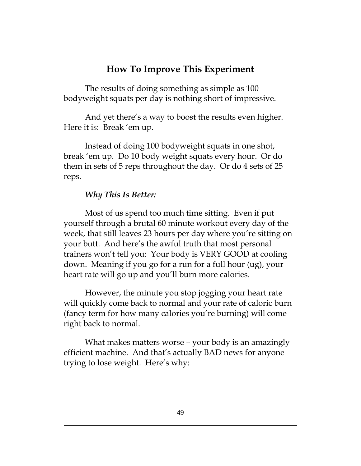## **How To Improve This Experiment**

The results of doing something as simple as 100 bodyweight squats per day is nothing short of impressive.

And yet there's a way to boost the results even higher. Here it is: Break 'em up.

Instead of doing 100 bodyweight squats in one shot, break 'em up. Do 10 body weight squats every hour. Or do them in sets of 5 reps throughout the day. Or do 4 sets of 25 reps.

#### *Why This Is Better:*

Most of us spend too much time sitting. Even if put yourself through a brutal 60 minute workout every day of the week, that still leaves 23 hours per day where you're sitting on your butt. And here's the awful truth that most personal trainers won't tell you: Your body is VERY GOOD at cooling down. Meaning if you go for a run for a full hour (ug), your heart rate will go up and you'll burn more calories.

However, the minute you stop jogging your heart rate will quickly come back to normal and your rate of caloric burn (fancy term for how many calories you're burning) will come right back to normal.

What makes matters worse – your body is an amazingly efficient machine. And that's actually BAD news for anyone trying to lose weight. Here's why: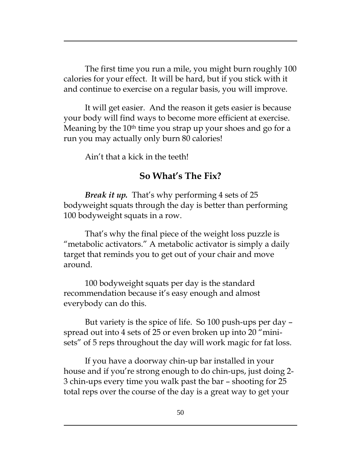The first time you run a mile, you might burn roughly 100 calories for your effect. It will be hard, but if you stick with it and continue to exercise on a regular basis, you will improve.

It will get easier. And the reason it gets easier is because your body will find ways to become more efficient at exercise. Meaning by the 10<sup>th</sup> time you strap up your shoes and go for a run you may actually only burn 80 calories!

Ain't that a kick in the teeth!

#### **So What's The Fix?**

*Break it up.* That's why performing 4 sets of 25 bodyweight squats through the day is better than performing 100 bodyweight squats in a row.

That's why the final piece of the weight loss puzzle is "metabolic activators." A metabolic activator is simply a daily target that reminds you to get out of your chair and move around.

100 bodyweight squats per day is the standard recommendation because it's easy enough and almost everybody can do this.

But variety is the spice of life. So 100 push-ups per day – spread out into 4 sets of 25 or even broken up into 20 "minisets" of 5 reps throughout the day will work magic for fat loss.

If you have a doorway chin-up bar installed in your house and if you're strong enough to do chin-ups, just doing 2- 3 chin-ups every time you walk past the bar – shooting for 25 total reps over the course of the day is a great way to get your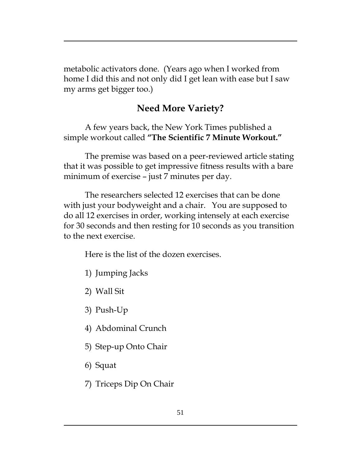metabolic activators done. (Years ago when I worked from home I did this and not only did I get lean with ease but I saw my arms get bigger too.)

## **Need More Variety?**

A few years back, the New York Times published a simple workout called **"The Scientific 7 Minute Workout."**

The premise was based on a peer-reviewed article stating that it was possible to get impressive fitness results with a bare minimum of exercise – just 7 minutes per day.

The researchers selected 12 exercises that can be done with just your bodyweight and a chair. You are supposed to do all 12 exercises in order, working intensely at each exercise for 30 seconds and then resting for 10 seconds as you transition to the next exercise.

Here is the list of the dozen exercises.

- 1) Jumping Jacks
- 2) Wall Sit
- 3) Push-Up
- 4) Abdominal Crunch
- 5) Step-up Onto Chair
- 6) Squat
- 7) Triceps Dip On Chair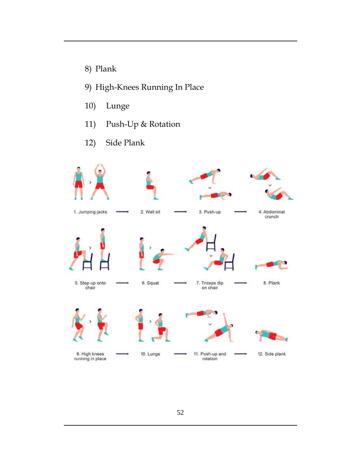- 8) Plank
- 9) High-Knees Running In Place
- 10) Lunge
- 11) Push-Up & Rotation
- 12) Side Plank

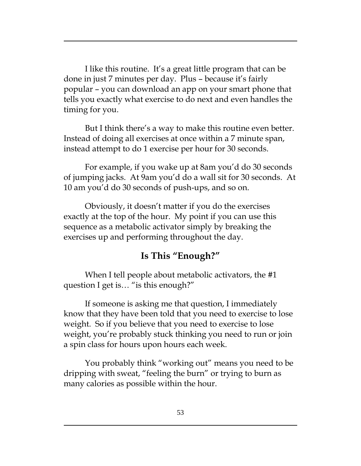I like this routine. It's a great little program that can be done in just 7 minutes per day. Plus – because it's fairly popular – you can download an app on your smart phone that tells you exactly what exercise to do next and even handles the timing for you.

But I think there's a way to make this routine even better. Instead of doing all exercises at once within a 7 minute span, instead attempt to do 1 exercise per hour for 30 seconds.

For example, if you wake up at 8am you'd do 30 seconds of jumping jacks. At 9am you'd do a wall sit for 30 seconds. At 10 am you'd do 30 seconds of push-ups, and so on.

Obviously, it doesn't matter if you do the exercises exactly at the top of the hour. My point if you can use this sequence as a metabolic activator simply by breaking the exercises up and performing throughout the day.

#### **Is This "Enough?"**

When I tell people about metabolic activators, the #1 question I get is… "is this enough?"

If someone is asking me that question, I immediately know that they have been told that you need to exercise to lose weight. So if you believe that you need to exercise to lose weight, you're probably stuck thinking you need to run or join a spin class for hours upon hours each week.

You probably think "working out" means you need to be dripping with sweat, "feeling the burn" or trying to burn as many calories as possible within the hour.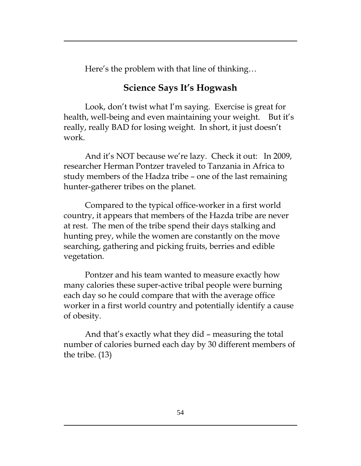Here's the problem with that line of thinking…

## **Science Says It's Hogwash**

Look, don't twist what I'm saying. Exercise is great for health, well-being and even maintaining your weight. But it's really, really BAD for losing weight. In short, it just doesn't work.

And it's NOT because we're lazy. Check it out: In 2009, researcher Herman Pontzer traveled to Tanzania in Africa to study members of the Hadza tribe – one of the last remaining hunter-gatherer tribes on the planet.

Compared to the typical office-worker in a first world country, it appears that members of the Hazda tribe are never at rest. The men of the tribe spend their days stalking and hunting prey, while the women are constantly on the move searching, gathering and picking fruits, berries and edible vegetation.

Pontzer and his team wanted to measure exactly how many calories these super-active tribal people were burning each day so he could compare that with the average office worker in a first world country and potentially identify a cause of obesity.

And that's exactly what they did – measuring the total number of calories burned each day by 30 different members of the tribe. (13)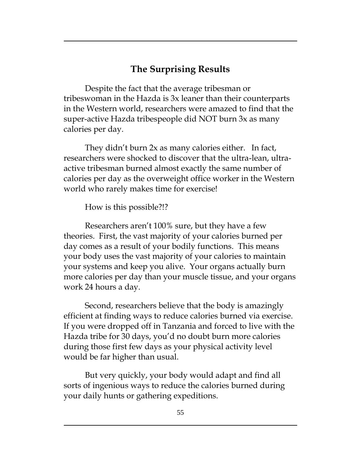## **The Surprising Results**

Despite the fact that the average tribesman or tribeswoman in the Hazda is 3x leaner than their counterparts in the Western world, researchers were amazed to find that the super-active Hazda tribespeople did NOT burn 3x as many calories per day.

They didn't burn 2x as many calories either. In fact, researchers were shocked to discover that the ultra-lean, ultraactive tribesman burned almost exactly the same number of calories per day as the overweight office worker in the Western world who rarely makes time for exercise!

How is this possible?!?

Researchers aren't 100% sure, but they have a few theories. First, the vast majority of your calories burned per day comes as a result of your bodily functions. This means your body uses the vast majority of your calories to maintain your systems and keep you alive. Your organs actually burn more calories per day than your muscle tissue, and your organs work 24 hours a day.

Second, researchers believe that the body is amazingly efficient at finding ways to reduce calories burned via exercise. If you were dropped off in Tanzania and forced to live with the Hazda tribe for 30 days, you'd no doubt burn more calories during those first few days as your physical activity level would be far higher than usual.

But very quickly, your body would adapt and find all sorts of ingenious ways to reduce the calories burned during your daily hunts or gathering expeditions.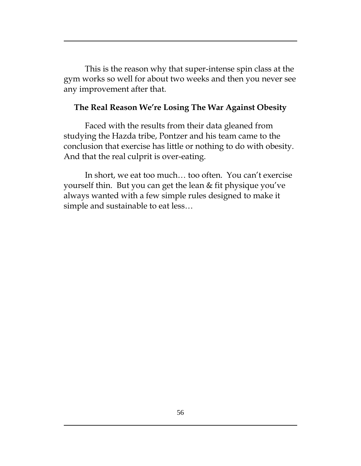This is the reason why that super-intense spin class at the gym works so well for about two weeks and then you never see any improvement after that.

#### **The Real Reason We're Losing The War Against Obesity**

Faced with the results from their data gleaned from studying the Hazda tribe, Pontzer and his team came to the conclusion that exercise has little or nothing to do with obesity. And that the real culprit is over-eating.

In short, we eat too much… too often. You can't exercise yourself thin. But you can get the lean & fit physique you've always wanted with a few simple rules designed to make it simple and sustainable to eat less…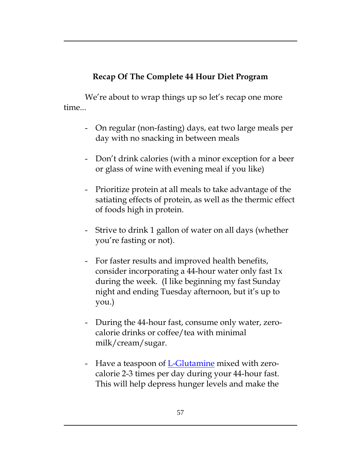## **Recap Of The Complete 44 Hour Diet Program**

We're about to wrap things up so let's recap one more time...

- On regular (non-fasting) days, eat two large meals per day with no snacking in between meals
- Don't drink calories (with a minor exception for a beer or glass of wine with evening meal if you like)
- Prioritize protein at all meals to take advantage of the satiating effects of protein, as well as the thermic effect of foods high in protein.
- Strive to drink 1 gallon of water on all days (whether you're fasting or not).
- For faster results and improved health benefits, consider incorporating a 44-hour water only fast 1x during the week. (I like beginning my fast Sunday night and ending Tuesday afternoon, but it's up to you.)
- During the 44-hour fast, consume only water, zerocalorie drinks or coffee/tea with minimal milk/cream/sugar.
- Have a teaspoon of <u>L-Glutamine</u> mixed with zerocalorie 2-3 times per day during your 44-hour fast. This will help depress hunger levels and make the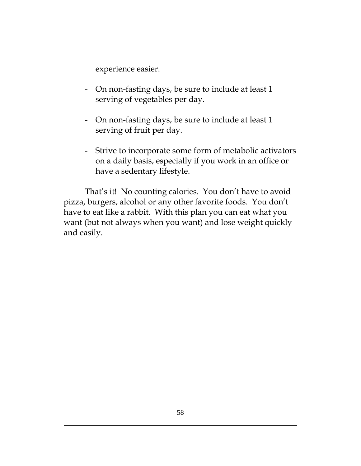experience easier.

- On non-fasting days, be sure to include at least 1 serving of vegetables per day.
- On non-fasting days, be sure to include at least 1 serving of fruit per day.
- Strive to incorporate some form of metabolic activators on a daily basis, especially if you work in an office or have a sedentary lifestyle.

That's it! No counting calories. You don't have to avoid pizza, burgers, alcohol or any other favorite foods. You don't have to eat like a rabbit. With this plan you can eat what you want (but not always when you want) and lose weight quickly and easily.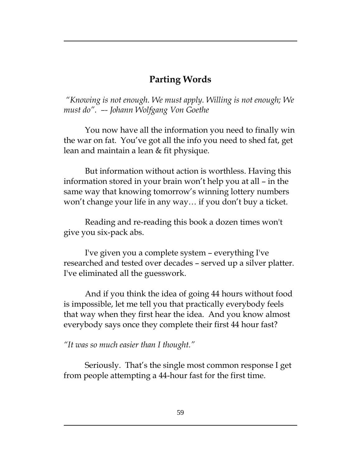## **Parting Words**

*"Knowing is not enough. We must apply. Willing is not enough; We must do". –- Johann Wolfgang Von Goethe*

You now have all the information you need to finally win the war on fat. You've got all the info you need to shed fat, get lean and maintain a lean & fit physique.

But information without action is worthless. Having this information stored in your brain won't help you at all – in the same way that knowing tomorrow's winning lottery numbers won't change your life in any way… if you don't buy a ticket.

Reading and re-reading this book a dozen times won't give you six-pack abs.

I've given you a complete system – everything I've researched and tested over decades – served up a silver platter. I've eliminated all the guesswork.

And if you think the idea of going 44 hours without food is impossible, let me tell you that practically everybody feels that way when they first hear the idea. And you know almost everybody says once they complete their first 44 hour fast?

*"It was so much easier than I thought."*

Seriously. That's the single most common response I get from people attempting a 44-hour fast for the first time.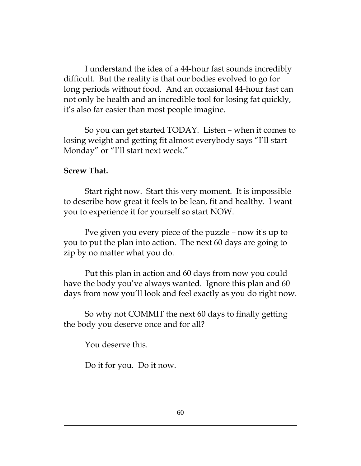I understand the idea of a 44-hour fast sounds incredibly difficult. But the reality is that our bodies evolved to go for long periods without food. And an occasional 44-hour fast can not only be health and an incredible tool for losing fat quickly, it's also far easier than most people imagine.

So you can get started TODAY. Listen – when it comes to losing weight and getting fit almost everybody says "I'll start Monday" or "I'll start next week."

#### **Screw That.**

Start right now. Start this very moment. It is impossible to describe how great it feels to be lean, fit and healthy. I want you to experience it for yourself so start NOW.

I've given you every piece of the puzzle – now it's up to you to put the plan into action. The next 60 days are going to zip by no matter what you do.

Put this plan in action and 60 days from now you could have the body you've always wanted. Ignore this plan and 60 days from now you'll look and feel exactly as you do right now.

So why not COMMIT the next 60 days to finally getting the body you deserve once and for all?

You deserve this.

Do it for you. Do it now.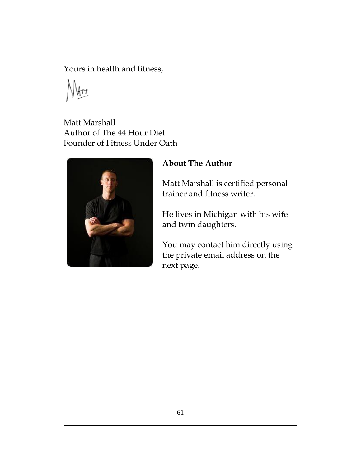Yours in health and fitness,

Matt Marshall Author of The 44 Hour Diet Founder of Fitness Under Oath



## **About The Author**

Matt Marshall is certified personal trainer and fitness writer.

He lives in Michigan with his wife and twin daughters.

You may contact him directly using the private email address on the next page.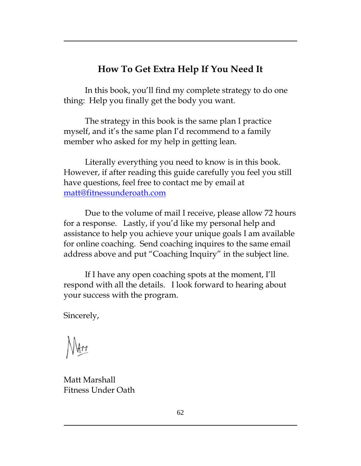## **How To Get Extra Help If You Need It**

In this book, you'll find my complete strategy to do one thing: Help you finally get the body you want.

The strategy in this book is the same plan I practice myself, and it's the same plan I'd recommend to a family member who asked for my help in getting lean.

Literally everything you need to know is in this book. However, if after reading this guide carefully you feel you still have questions, feel free to contact me by email at [matt@fitnessunderoath.com](mailto:matt@fitnessunderoath.com)

Due to the volume of mail I receive, please allow 72 hours for a response. Lastly, if you'd like my personal help and assistance to help you achieve your unique goals I am available for online coaching. Send coaching inquires to the same email address above and put "Coaching Inquiry" in the subject line.

If I have any open coaching spots at the moment, I'll respond with all the details. I look forward to hearing about your success with the program.

Sincerely,

Matt Marshall Fitness Under Oath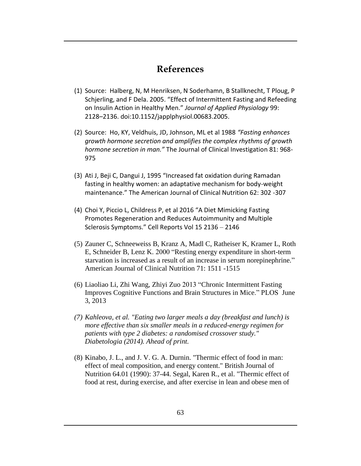#### **References**

- (1) Source: Halberg, N, M Henriksen, N Soderhamn, B Stallknecht, T Ploug, P Schjerling, and F Dela. 2005. "Effect of Intermittent Fasting and Refeeding on Insulin Action in Healthy Men." *Journal of Applied Physiology* 99: 2128–2136. doi:10.1152/japplphysiol.00683.2005.
- (2) Source: Ho, KY, Veldhuis, JD, Johnson, ML et al 1988 *"Fasting enhances growth hormone secretion and amplifies the complex rhythms of growth hormone secretion in man."* The Journal of Clinical Investigation 81: 968- 975
- (3) Ati J, Beji C, Dangui J, 1995 "Increased fat oxidation during Ramadan fasting in healthy women: an adaptative mechanism for body-weight maintenance." The American Journal of Clinical Nutrition 62: 302 -307
- (4) Choi Y, Piccio L, Childress P, et al 2016 "A Diet Mimicking Fasting Promotes Regeneration and Reduces Autoimmunity and Multiple Sclerosis Symptoms." Cell Reports Vol 15 2136 – 2146
- (5) Zauner C, Schneeweiss B, Kranz A, Madl C, Ratheiser K, Kramer L, Roth E, Schneider B, Lenz K. 2000 "Resting energy expenditure in short-term starvation is increased as a result of an increase in serum norepinephrine." American Journal of Clinical Nutrition 71: 1511 -1515
- (6) Liaoliao Li, Zhi Wang, Zhiyi Zuo 2013 "Chronic Intermittent Fasting Improves Cognitive Functions and Brain Structures in Mice." PLOS June 3, 2013
- *(7) Kahleova, et al. "Eating two larger meals a day (breakfast and lunch) is more effective than six smaller meals in a reduced-energy regimen for patients with type 2 diabetes: a randomised crossover study." Diabetologia (2014). Ahead of print.*
- (8) Kinabo, J. L., and J. V. G. A. Durnin. "Thermic effect of food in man: effect of meal composition, and energy content." British Journal of Nutrition 64.01 (1990): 37-44. Segal, Karen R., et al. "Thermic effect of food at rest, during exercise, and after exercise in lean and obese men of